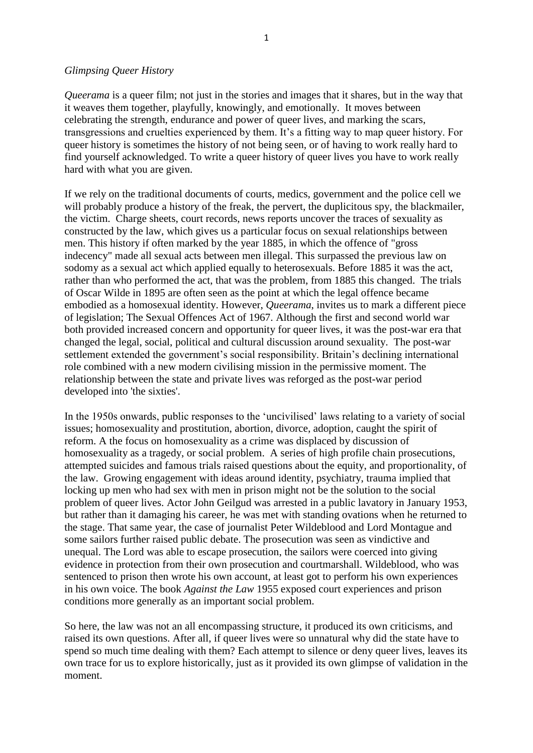## *Glimpsing Queer History*

*Queerama* is a queer film; not just in the stories and images that it shares, but in the way that it weaves them together, playfully, knowingly, and emotionally. It moves between celebrating the strength, endurance and power of queer lives, and marking the scars, transgressions and cruelties experienced by them. It's a fitting way to map queer history. For queer history is sometimes the history of not being seen, or of having to work really hard to find yourself acknowledged. To write a queer history of queer lives you have to work really hard with what you are given.

If we rely on the traditional documents of courts, medics, government and the police cell we will probably produce a history of the freak, the pervert, the duplicitous spy, the blackmailer, the victim. Charge sheets, court records, news reports uncover the traces of sexuality as constructed by the law, which gives us a particular focus on sexual relationships between men. This history if often marked by the year 1885, in which the offence of "gross indecency" made all sexual acts between men illegal. This surpassed the previous law on sodomy as a sexual act which applied equally to heterosexuals. Before 1885 it was the act, rather than who performed the act, that was the problem, from 1885 this changed. The trials of Oscar Wilde in 1895 are often seen as the point at which the legal offence became embodied as a homosexual identity. However, *Queerama*, invites us to mark a different piece of legislation; The Sexual Offences Act of 1967. Although the first and second world war both provided increased concern and opportunity for queer lives, it was the post-war era that changed the legal, social, political and cultural discussion around sexuality. The post-war settlement extended the government's social responsibility. Britain's declining international role combined with a new modern civilising mission in the permissive moment. The relationship between the state and private lives was reforged as the post-war period developed into 'the sixties'.

In the 1950s onwards, public responses to the 'uncivilised' laws relating to a variety of social issues; homosexuality and prostitution, abortion, divorce, adoption, caught the spirit of reform. A the focus on homosexuality as a crime was displaced by discussion of homosexuality as a tragedy, or social problem. A series of high profile chain prosecutions, attempted suicides and famous trials raised questions about the equity, and proportionality, of the law. Growing engagement with ideas around identity, psychiatry, trauma implied that locking up men who had sex with men in prison might not be the solution to the social problem of queer lives. Actor John Geilgud was arrested in a public lavatory in January 1953, but rather than it damaging his career, he was met with standing ovations when he returned to the stage. That same year, the case of journalist Peter Wildeblood and Lord Montague and some sailors further raised public debate. The prosecution was seen as vindictive and unequal. The Lord was able to escape prosecution, the sailors were coerced into giving evidence in protection from their own prosecution and courtmarshall. Wildeblood, who was sentenced to prison then wrote his own account, at least got to perform his own experiences in his own voice. The book *Against the Law* 1955 exposed court experiences and prison conditions more generally as an important social problem.

So here, the law was not an all encompassing structure, it produced its own criticisms, and raised its own questions. After all, if queer lives were so unnatural why did the state have to spend so much time dealing with them? Each attempt to silence or deny queer lives, leaves its own trace for us to explore historically, just as it provided its own glimpse of validation in the moment.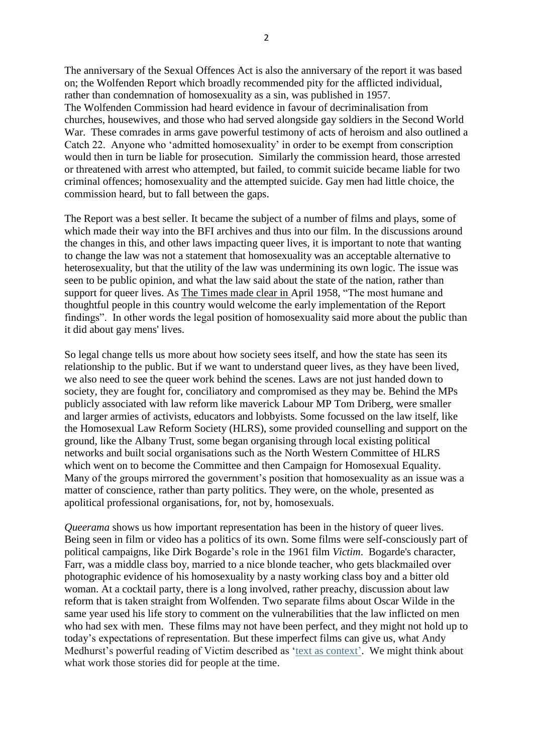The anniversary of the Sexual Offences Act is also the anniversary of the report it was based on; the Wolfenden Report which broadly recommended pity for the afflicted individual, rather than condemnation of homosexuality as a sin, was published in 1957. The Wolfenden Commission had heard evidence in favour of decriminalisation from churches, housewives, and those who had served alongside gay soldiers in the Second World War. These comrades in arms gave powerful testimony of acts of heroism and also outlined a Catch 22. Anyone who 'admitted homosexuality' in order to be exempt from conscription would then in turn be liable for prosecution. Similarly the commission heard, those arrested or threatened with arrest who attempted, but failed, to commit suicide became liable for two criminal offences; homosexuality and the attempted suicide. Gay men had little choice, the commission heard, but to fall between the gaps.

The Report was a best seller. It became the subject of a number of films and plays, some of which made their way into the BFI archives and thus into our film. In the discussions around the changes in this, and other laws impacting queer lives, it is important to note that wanting to change the law was not a statement that homosexuality was an acceptable alternative to heterosexuality, but that the utility of the law was undermining its own logic. The issue was seen to be public opinion, and what the law said about the state of the nation, rather than support for queer lives. As The Times made clear in April 1958, "The most humane and thoughtful people in this country would welcome the early implementation of the Report findings". In other words the legal position of homosexuality said more about the public than it did about gay mens' lives.

So legal change tells us more about how society sees itself, and how the state has seen its relationship to the public. But if we want to understand queer lives, as they have been lived, we also need to see the queer work behind the scenes. Laws are not just handed down to society, they are fought for, conciliatory and compromised as they may be. Behind the MPs publicly associated with law reform like maverick Labour MP Tom Driberg, were smaller and larger armies of activists, educators and lobbyists. Some focussed on the law itself, like the Homosexual Law Reform Society (HLRS), some provided counselling and support on the ground, like the Albany Trust, some began organising through local existing political networks and built social organisations such as the North Western Committee of HLRS which went on to become the Committee and then Campaign for Homosexual Equality. Many of the groups mirrored the government's position that homosexuality as an issue was a matter of conscience, rather than party politics. They were, on the whole, presented as apolitical professional organisations, for, not by, homosexuals.

*Queerama* shows us how important representation has been in the history of queer lives. Being seen in film or video has a politics of its own. Some films were self-consciously part of political campaigns, like Dirk Bogarde's role in the 1961 film *Victim*. Bogarde's character, Farr, was a middle class boy, married to a nice blonde teacher, who gets blackmailed over photographic evidence of his homosexuality by a nasty working class boy and a bitter old woman. At a cocktail party, there is a long involved, rather preachy, discussion about law reform that is taken straight from Wolfenden. Two separate films about Oscar Wilde in the same year used his life story to comment on the vulnerabilities that the law inflicted on men who had sex with men. These films may not have been perfect, and they might not hold up to today's expectations of representation. But these imperfect films can give us, what Andy Medhurst's powerful reading of Victim described as ['text as context'](https://www.youtube.com/watch?v=Ueo5nTaPGSI). We might think about what work those stories did for people at the time.